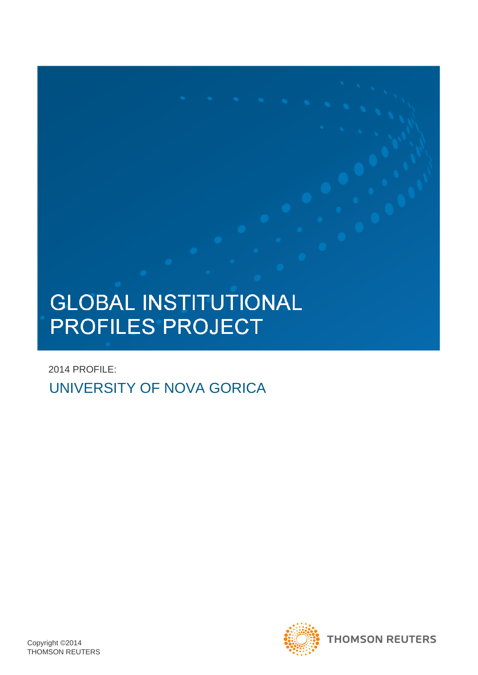# **GLOBAL INSTITUTIONAL** PROFILES PROJECT

2014 PROFILE: UNIVERSITY OF NOVA GORICA



**THOMSON REUTERS**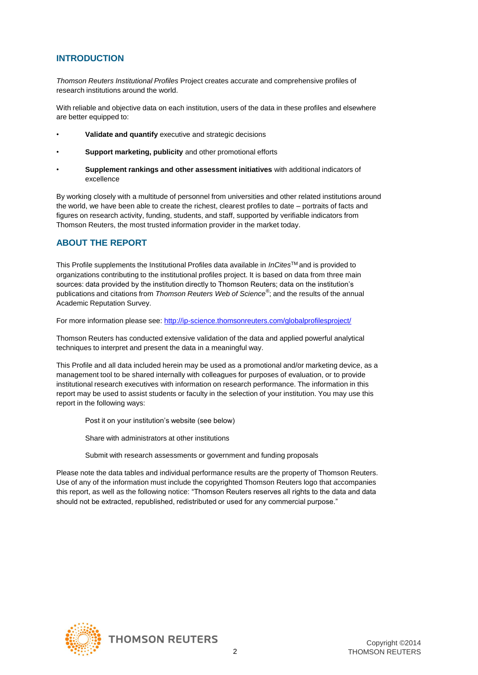## **INTRODUCTION**

*Thomson Reuters Institutional Profiles* Project creates accurate and comprehensive profiles of research institutions around the world.

With reliable and objective data on each institution, users of the data in these profiles and elsewhere are better equipped to:

- **Validate and quantify** executive and strategic decisions
- **Support marketing, publicity** and other promotional efforts
- **Supplement rankings and other assessment initiatives** with additional indicators of excellence

By working closely with a multitude of personnel from universities and other related institutions around the world, we have been able to create the richest, clearest profiles to date – portraits of facts and figures on research activity, funding, students, and staff, supported by verifiable indicators from Thomson Reuters, the most trusted information provider in the market today.

## **ABOUT THE REPORT**

This Profile supplements the Institutional Profiles data available in *InCites*TM and is provided to organizations contributing to the institutional profiles project. It is based on data from three main sources: data provided by the institution directly to Thomson Reuters; data on the institution's publications and citations from *Thomson Reuters Web of Science®* ; and the results of the annual Academic Reputation Survey.

For more information please see: http://ip-science.thomsonreuters.com/globalprofilesproject/

Thomson Reuters has conducted extensive validation of the data and applied powerful analytical techniques to interpret and present the data in a meaningful way.

This Profile and all data included herein may be used as a promotional and/or marketing device, as a management tool to be shared internally with colleagues for purposes of evaluation, or to provide institutional research executives with information on research performance. The information in this report may be used to assist students or faculty in the selection of your institution. You may use this report in the following ways:

Post it on your institution's website (see below)

Share with administrators at other institutions

Submit with research assessments or government and funding proposals

Please note the data tables and individual performance results are the property of Thomson Reuters. Use of any of the information must include the copyrighted Thomson Reuters logo that accompanies this report, as well as the following notice: "Thomson Reuters reserves all rights to the data and data should not be extracted, republished, redistributed or used for any commercial purpose."

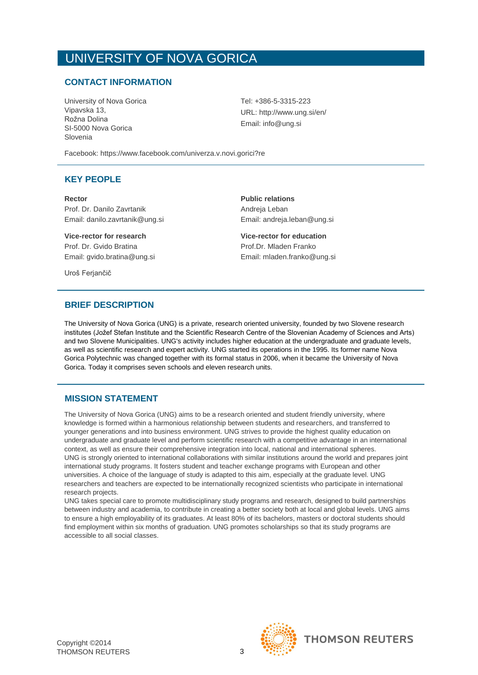### **CONTACT INFORMATION**

University of Nova Gorica Vipavska 13, Rožna Dolina SI-5000 Nova Gorica Slovenia

Tel: +386-5-3315-223 URL: http://www.ung.si/en/ Email: info@ung.si

Facebook: https://www.facebook.com/univerza.v.novi.gorici?re

#### **KEY PEOPLE**

**Rector Public relations** Prof. Dr. Danilo Zavrtanik **Andreja Leban** Email: danilo.zavrtanik@ung.si Email: andreja.leban@ung.si

**Vice-rector for research Vice-rector for education** Prof. Dr. Gvido Bratina **Prof.Dr. Mladen Franko** Email: gvido.bratina@ung.si Email: mladen.franko@ung.si

Uroš Ferjančič

### **BRIEF DESCRIPTION**

The University of Nova Gorica (UNG) is a private, research oriented university, founded by two Slovene research institutes (Jožef Stefan Institute and the Scientific Research Centre of the Slovenian Academy of Sciences and Arts) and two Slovene Municipalities. UNG's activity includes higher education at the undergraduate and graduate levels, as well as scientific research and expert activity. UNG started its operations in the 1995. Its former name Nova Gorica Polytechnic was changed together with its formal status in 2006, when it became the University of Nova Gorica. Today it comprises seven schools and eleven research units.

### **MISSION STATEMENT**

The University of Nova Gorica (UNG) aims to be a research oriented and student friendly university, where knowledge is formed within a harmonious relationship between students and researchers, and transferred to younger generations and into business environment. UNG strives to provide the highest quality education on undergraduate and graduate level and perform scientific research with a competitive advantage in an international context, as well as ensure their comprehensive integration into local, national and international spheres. UNG is strongly oriented to international collaborations with similar institutions around the world and prepares joint international study programs. It fosters student and teacher exchange programs with European and other universities. A choice of the language of study is adapted to this aim, especially at the graduate level. UNG researchers and teachers are expected to be internationally recognized scientists who participate in international research projects.

UNG takes special care to promote multidisciplinary study programs and research, designed to build partnerships between industry and academia, to contribute in creating a better society both at local and global levels. UNG aims to ensure a high employability of its graduates. At least 80% of its bachelors, masters or doctoral students should find employment within six months of graduation. UNG promotes scholarships so that its study programs are accessible to all social classes.

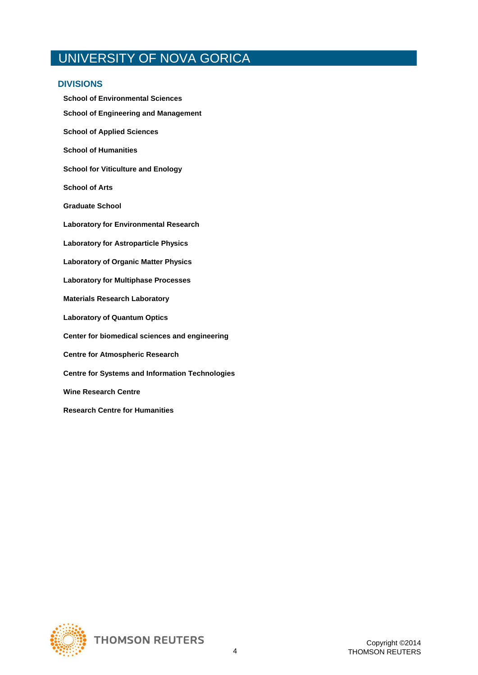#### **DIVISIONS**

**School of Environmental Sciences School of Engineering and Management School of Applied Sciences School of Humanities School for Viticulture and Enology School of Arts Graduate School Laboratory for Environmental Research Laboratory for Astroparticle Physics Laboratory of Organic Matter Physics Laboratory for Multiphase Processes Materials Research Laboratory Laboratory of Quantum Optics Center for biomedical sciences and engineering Centre for Atmospheric Research Centre for Systems and Information Technologies Wine Research Centre Research Centre for Humanities**

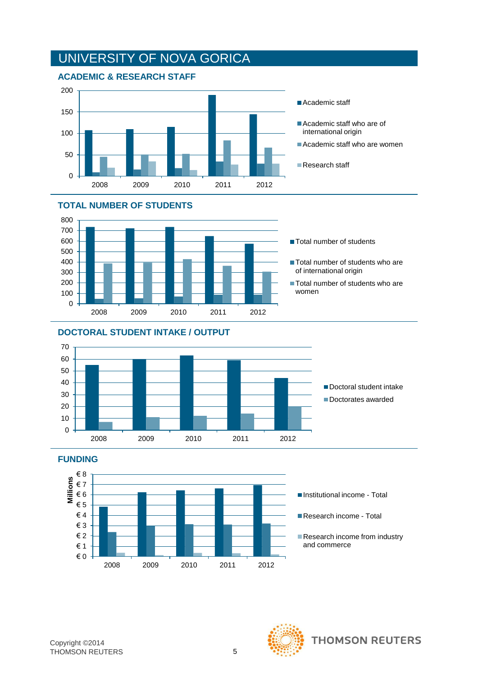









**FUNDING**



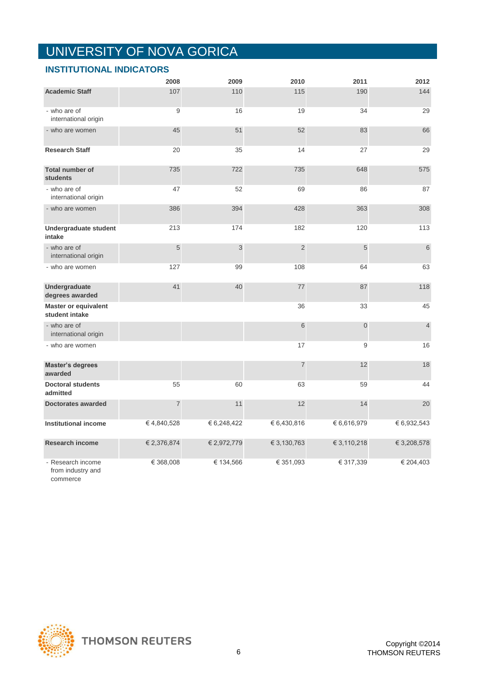|                                                    | 2008        | 2009        | 2010           | 2011           | 2012           |
|----------------------------------------------------|-------------|-------------|----------------|----------------|----------------|
| <b>Academic Staff</b>                              | 107         | 110         | 115            | 190            | 144            |
| - who are of<br>international origin               | 9           | 16          | 19             | 34             | 29             |
| - who are women                                    | 45          | 51          | 52             | 83             | 66             |
| <b>Research Staff</b>                              | 20          | 35          | 14             | 27             | 29             |
| <b>Total number of</b><br><b>students</b>          | 735         | 722         | 735            | 648            | 575            |
| - who are of<br>international origin               | 47          | 52          | 69             | 86             | 87             |
| - who are women                                    | 386         | 394         | 428            | 363            | 308            |
| Undergraduate student<br>intake                    | 213         | 174         | 182            | 120            | 113            |
| - who are of<br>international origin               | 5           | 3           | $\overline{2}$ | 5              | 6              |
| - who are women                                    | 127         | 99          | 108            | 64             | 63             |
| Undergraduate<br>degrees awarded                   | 41          | 40          | 77             | 87             | 118            |
| Master or equivalent<br>student intake             |             |             | 36             | 33             | 45             |
| - who are of<br>international origin               |             |             | 6              | $\overline{0}$ | $\overline{4}$ |
| - who are women                                    |             |             | 17             | 9              | 16             |
| <b>Master's degrees</b><br>awarded                 |             |             | $\overline{7}$ | 12             | 18             |
| <b>Doctoral students</b><br>admitted               | 55          | 60          | 63             | 59             | 44             |
| <b>Doctorates awarded</b>                          | 7           | 11          | 12             | 14             | 20             |
| <b>Institutional income</b>                        | €4,840,528  | € 6,248,422 | € 6,430,816    | €6,616,979     | € 6,932,543    |
| Research income                                    | € 2,376,874 | € 2,972,779 | € 3,130,763    | € 3,110,218    | € 3,208,578    |
| - Research income<br>from industry and<br>commerce | € 368,008   | € 134,566   | € 351,093      | € 317,339      | € 204,403      |

## **INSTITUTIONAL INDICATORS**

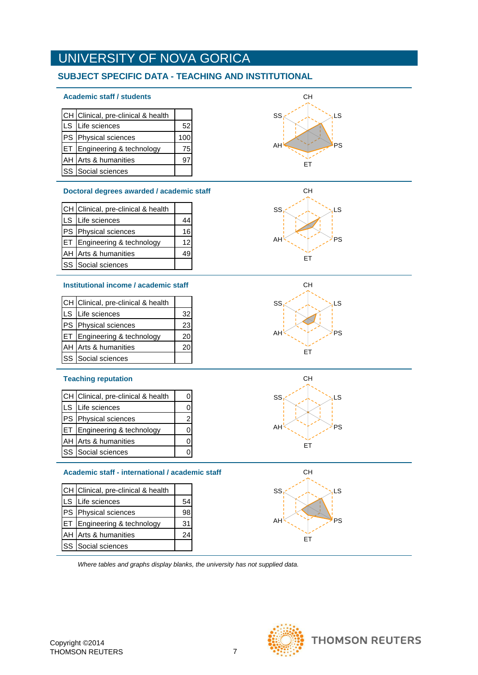## **SUBJECT SPECIFIC DATA - TEACHING AND INSTITUTIONAL**

#### **Academic staff / students**

| CH Clinical, pre-clinical & health |     |
|------------------------------------|-----|
| LS Life sciences                   | 52  |
| PS Physical sciences               | 100 |
| ET Engineering & technology        | 75  |
| AH Arts & humanities               |     |
| SS Social sciences                 |     |

#### **Doctoral degrees awarded / academic staff**

| CH Clinical, pre-clinical & health |    |
|------------------------------------|----|
| LS Life sciences                   |    |
| PS Physical sciences               | 16 |
| ET Engineering & technology        | 12 |
| AH Arts & humanities               |    |
| SS Social sciences                 |    |

#### **Institutional income / academic staff**

| CH Clinical, pre-clinical & health |    |
|------------------------------------|----|
| LS Life sciences                   | 32 |
| PS Physical sciences               | 23 |
| ET Engineering & technology        | 20 |
| AH Arts & humanities               |    |
| SS Social sciences                 |    |

#### **Teaching reputation**

| CH Clinical, pre-clinical & health     | ი |
|----------------------------------------|---|
| LS Life sciences                       |   |
| PS Physical sciences                   | 2 |
| <b>ET Engineering &amp; technology</b> |   |
| AH Arts & humanities                   |   |
| SS Social sciences                     |   |

#### **Academic staff - international / academic staff**

| CH Clinical, pre-clinical & health |    |
|------------------------------------|----|
| LS Life sciences                   |    |
| PS Physical sciences               | 98 |
| ET Engineering & technology        | 31 |
| AH Arts & humanities               | 24 |
| SS Social sciences                 |    |

*Where tables and graphs display blanks, the university has not supplied data.*











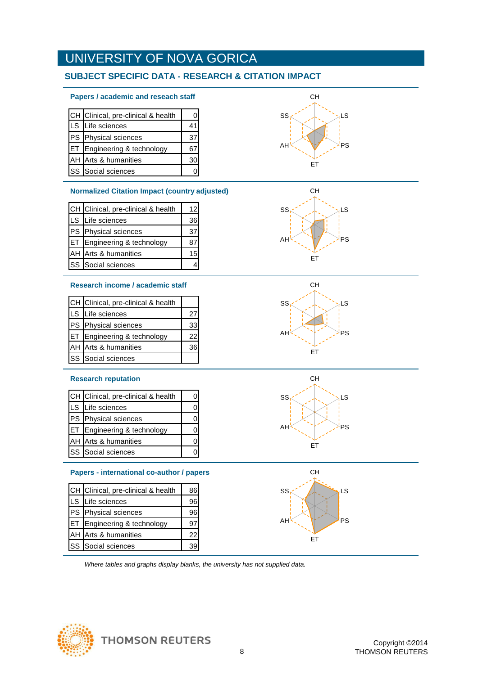## **SUBJECT SPECIFIC DATA - RESEARCH & CITATION IMPACT**

#### **Papers / academic and reseach staff**

|            | CH Clinical, pre-clinical & health | ი  |
|------------|------------------------------------|----|
|            | LS Life sciences                   | 41 |
|            | PS Physical sciences               | 37 |
| <b>IET</b> | Engineering & technology           |    |
|            | AH Arts & humanities               | 30 |
|            | SS Social sciences                 |    |

#### **Normalized Citation Impact (country adjusted)**

|      | CH Clinical, pre-clinical & health | 12 <sub>l</sub> |
|------|------------------------------------|-----------------|
| lls. | Life sciences                      | 36              |
|      | PS Physical sciences               | 37              |
|      | ET Engineering & technology        |                 |
|      | AH Arts & humanities               |                 |
|      | <b>SS</b> Social sciences          |                 |

#### **Research income / academic staff**

| CH Clinical, pre-clinical & health     |    |
|----------------------------------------|----|
| LS Life sciences                       | 27 |
| PS Physical sciences                   | 33 |
| <b>ET Engineering &amp; technology</b> | 22 |
| AH Arts & humanities                   | 36 |
| <b>SS</b> Social sciences              |    |

#### **Research reputation**

| CH Clinical, pre-clinical & health     |  |
|----------------------------------------|--|
| LS Life sciences                       |  |
| PS Physical sciences                   |  |
| <b>ET Engineering &amp; technology</b> |  |
| AH Arts & humanities                   |  |
| <b>SS</b> Social sciences              |  |

#### **Papers - international co-author / papers** CH

|      | CH Clinical, pre-clinical & health | 86 |
|------|------------------------------------|----|
| ILS. | Life sciences                      | 96 |
|      | PS Physical sciences               | 96 |
| IET. | Engineering & technology           | 97 |
|      | AH Arts & humanities               | 22 |
|      | <b>SS</b> Social sciences          |    |

*Where tables and graphs display blanks, the university has not supplied data.*











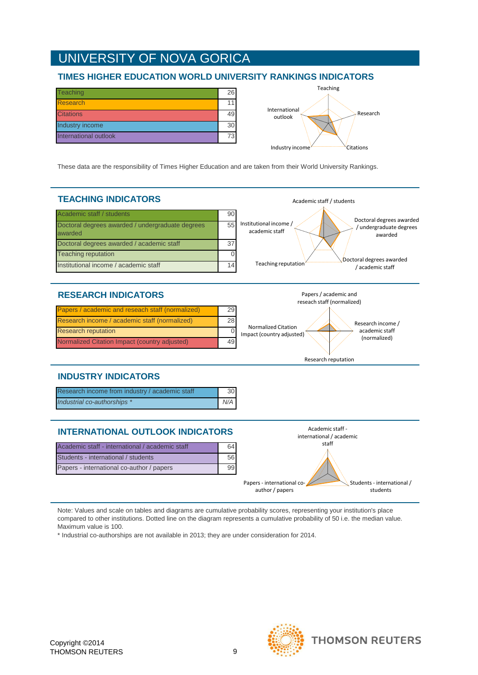### **TIMES HIGHER EDUCATION WORLD UNIVERSITY RANKINGS INDICATORS**

| <b>Teaching</b>       | 26 |
|-----------------------|----|
| <b>Research</b>       | 11 |
| <b>Citations</b>      | 49 |
| Industry income       | 30 |
| International outlook | 73 |



Academic staff / students

These data are the responsibility of Times Higher Education and are taken from their World University Rankings.

## **TEACHING INDICATORS**



### **RESEARCH INDICATORS**

| Papers / academic and reseach staff (normalized) | 29 |
|--------------------------------------------------|----|
| Research income / academic staff (normalized)    | 28 |
| <b>Research reputation</b>                       |    |
| Normalized Citation Impact (country adjusted)    | 49 |



Research reputation

## **INDUSTRY INDICATORS**

| Research income from industry / academic staff | 30    |
|------------------------------------------------|-------|
| Industrial co-authorships *                    | N/A I |

## **INTERNATIONAL OUTLOOK INDICATORS**

| Academic staff - international / academic staff | 64 |
|-------------------------------------------------|----|
| Students - international / students             | 56 |
| Papers - international co-author / papers       |    |



Note: Values and scale on tables and diagrams are cumulative probability scores, representing your institution's place compared to other institutions. Dotted line on the diagram represents a cumulative probability of 50 i.e. the median value. Maximum value is 100.

\* Industrial co-authorships are not available in 2013; they are under consideration for 2014.

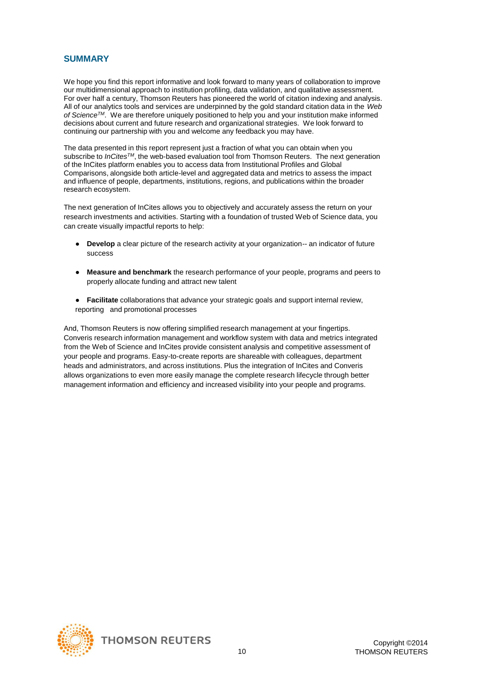### **SUMMARY**

We hope you find this report informative and look forward to many years of collaboration to improve our multidimensional approach to institution profiling, data validation, and qualitative assessment. For over half a century, Thomson Reuters has pioneered the world of citation indexing and analysis. All of our analytics tools and services are underpinned by the gold standard citation data in the *Web of ScienceTM*. We are therefore uniquely positioned to help you and your institution make informed decisions about current and future research and organizational strategies. We look forward to continuing our partnership with you and welcome any feedback you may have.

The data presented in this report represent just a fraction of what you can obtain when you subscribe to *InCitesTM*, the web-based evaluation tool from Thomson Reuters. The next generation of the InCites platform enables you to access data from Institutional Profiles and Global Comparisons, alongside both article-level and aggregated data and metrics to assess the impact and influence of people, departments, institutions, regions, and publications within the broader research ecosystem.

The next generation of InCites allows you to objectively and accurately assess the return on your research investments and activities. Starting with a foundation of trusted Web of Science data, you can create visually impactful reports to help:

- **Develop** a clear picture of the research activity at your organization-- an indicator of future success
- **Measure and benchmark** the research performance of your people, programs and peers to properly allocate funding and attract new talent
- **Facilitate** collaborations that advance your strategic goals and support internal review, reporting and promotional processes

And, Thomson Reuters is now offering simplified research management at your fingertips. Converis research information management and workflow system with data and metrics integrated from the Web of Science and InCites provide consistent analysis and competitive assessment of your people and programs. Easy-to-create reports are shareable with colleagues, department heads and administrators, and across institutions. Plus the integration of InCites and Converis allows organizations to even more easily manage the complete research lifecycle through better management information and efficiency and increased visibility into your people and programs.